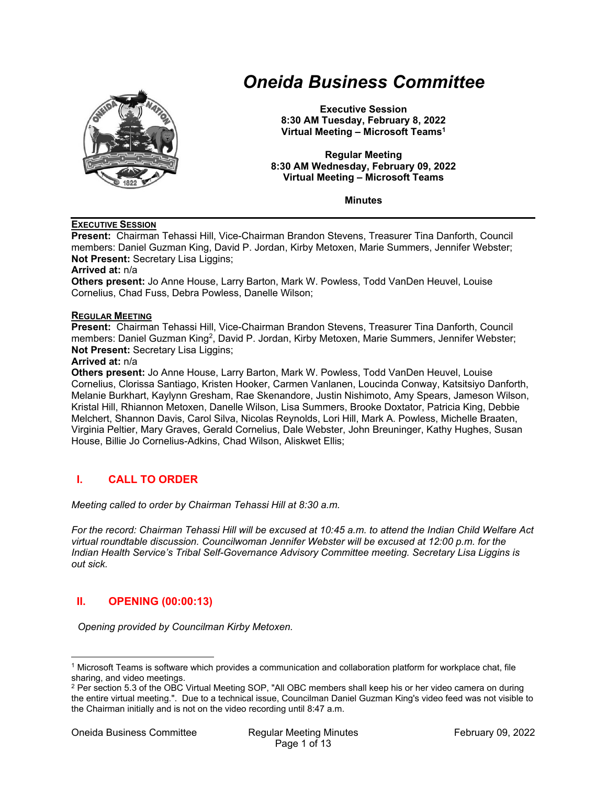

# *Oneida Business Committee*

**Executive Session 8:30 AM Tuesday, February 8, 2022 Virtual Meeting – Microsoft Teams1**

**Regular Meeting 8:30 AM Wednesday, February 09, 2022 Virtual Meeting – Microsoft Teams** 

**Minutes** 

#### **EXECUTIVE SESSION**

**Present:** Chairman Tehassi Hill, Vice-Chairman Brandon Stevens, Treasurer Tina Danforth, Council members: Daniel Guzman King, David P. Jordan, Kirby Metoxen, Marie Summers, Jennifer Webster; **Not Present: Secretary Lisa Liggins:** 

#### **Arrived at:** n/a

**Others present:** Jo Anne House, Larry Barton, Mark W. Powless, Todd VanDen Heuvel, Louise Cornelius, Chad Fuss, Debra Powless, Danelle Wilson;

#### **REGULAR MEETING**

**Present:** Chairman Tehassi Hill, Vice-Chairman Brandon Stevens, Treasurer Tina Danforth, Council members: Daniel Guzman King<sup>2</sup>, David P. Jordan, Kirby Metoxen, Marie Summers, Jennifer Webster; **Not Present:** Secretary Lisa Liggins;

#### **Arrived at:** n/a

**Others present:** Jo Anne House, Larry Barton, Mark W. Powless, Todd VanDen Heuvel, Louise Cornelius, Clorissa Santiago, Kristen Hooker, Carmen Vanlanen, Loucinda Conway, Katsitsiyo Danforth, Melanie Burkhart, Kaylynn Gresham, Rae Skenandore, Justin Nishimoto, Amy Spears, Jameson Wilson, Kristal Hill, Rhiannon Metoxen, Danelle Wilson, Lisa Summers, Brooke Doxtator, Patricia King, Debbie Melchert, Shannon Davis, Carol Silva, Nicolas Reynolds, Lori Hill, Mark A. Powless, Michelle Braaten, Virginia Peltier, Mary Graves, Gerald Cornelius, Dale Webster, John Breuninger, Kathy Hughes, Susan House, Billie Jo Cornelius-Adkins, Chad Wilson, Aliskwet Ellis;

# **I. CALL TO ORDER**

*Meeting called to order by Chairman Tehassi Hill at 8:30 a.m.* 

*For the record: Chairman Tehassi Hill will be excused at 10:45 a.m. to attend the Indian Child Welfare Act virtual roundtable discussion. Councilwoman Jennifer Webster will be excused at 12:00 p.m. for the Indian Health Service's Tribal Self-Governance Advisory Committee meeting. Secretary Lisa Liggins is out sick.* 

# **II. OPENING (00:00:13)**

*Opening provided by Councilman Kirby Metoxen.* 

<sup>1</sup> Microsoft Teams is software which provides a communication and collaboration platform for workplace chat, file sharing, and video meetings.

<sup>&</sup>lt;sup>2</sup> Per section 5.3 of the OBC Virtual Meeting SOP, "All OBC members shall keep his or her video camera on during the entire virtual meeting.". Due to a technical issue, Councilman Daniel Guzman King's video feed was not visible to the Chairman initially and is not on the video recording until 8:47 a.m.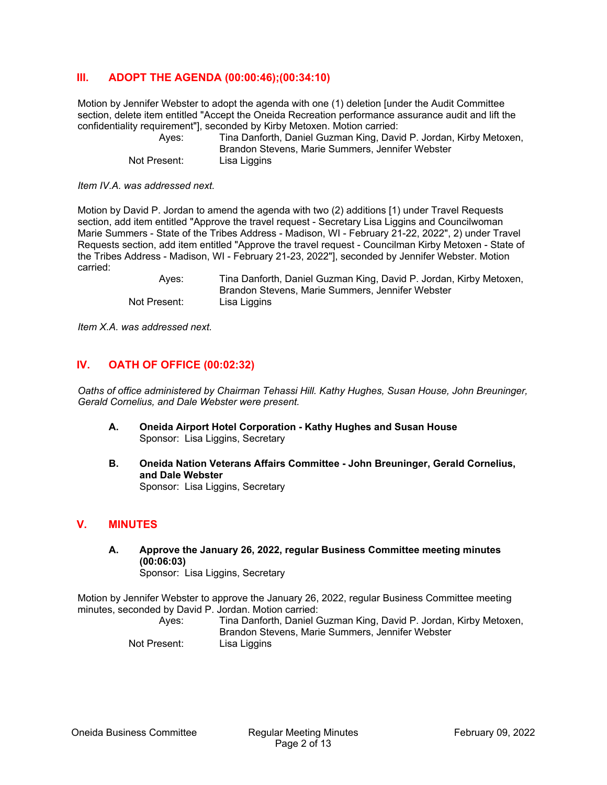# **III. ADOPT THE AGENDA (00:00:46);(00:34:10)**

Motion by Jennifer Webster to adopt the agenda with one (1) deletion [under the Audit Committee section, delete item entitled "Accept the Oneida Recreation performance assurance audit and lift the confidentiality requirement"], seconded by Kirby Metoxen. Motion carried:

 Ayes: Tina Danforth, Daniel Guzman King, David P. Jordan, Kirby Metoxen, Brandon Stevens, Marie Summers, Jennifer Webster Not Present: Lisa Liggins

*Item IV.A. was addressed next.* 

Motion by David P. Jordan to amend the agenda with two (2) additions [1) under Travel Requests section, add item entitled "Approve the travel request - Secretary Lisa Liggins and Councilwoman Marie Summers - State of the Tribes Address - Madison, WI - February 21-22, 2022", 2) under Travel Requests section, add item entitled "Approve the travel request - Councilman Kirby Metoxen - State of the Tribes Address - Madison, WI - February 21-23, 2022"], seconded by Jennifer Webster. Motion carried:

 Ayes: Tina Danforth, Daniel Guzman King, David P. Jordan, Kirby Metoxen, Brandon Stevens, Marie Summers, Jennifer Webster Not Present: Lisa Liggins

*Item X.A. was addressed next.* 

# **IV. OATH OF OFFICE (00:02:32)**

*Oaths of office administered by Chairman Tehassi Hill. Kathy Hughes, Susan House, John Breuninger, Gerald Cornelius, and Dale Webster were present.* 

- **A. Oneida Airport Hotel Corporation Kathy Hughes and Susan House**  Sponsor: Lisa Liggins, Secretary
- **B. Oneida Nation Veterans Affairs Committee John Breuninger, Gerald Cornelius, and Dale Webster**  Sponsor: Lisa Liggins, Secretary

#### **V. MINUTES**

**A. Approve the January 26, 2022, regular Business Committee meeting minutes (00:06:03)**  Sponsor: Lisa Liggins, Secretary

Motion by Jennifer Webster to approve the January 26, 2022, regular Business Committee meeting minutes, seconded by David P. Jordan. Motion carried:

 Ayes: Tina Danforth, Daniel Guzman King, David P. Jordan, Kirby Metoxen, Brandon Stevens, Marie Summers, Jennifer Webster Not Present: Lisa Liggins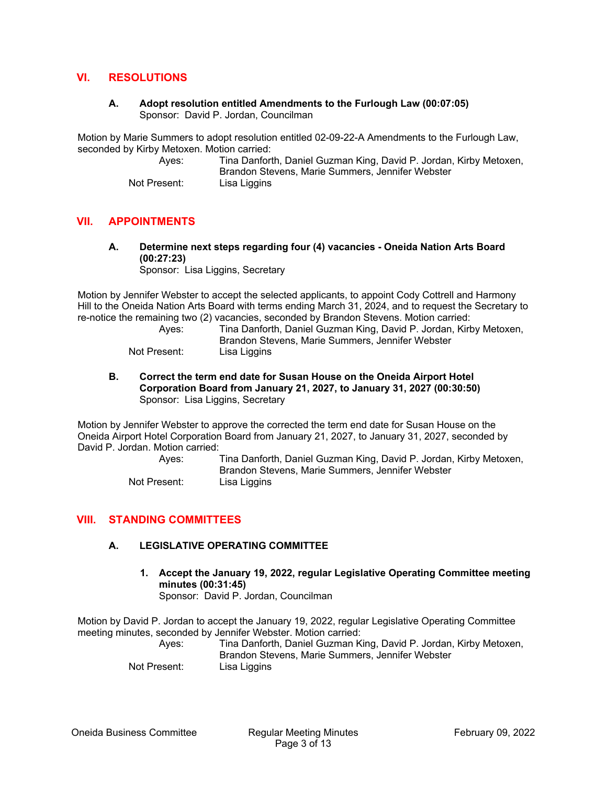## **VI. RESOLUTIONS**

#### **A. Adopt resolution entitled Amendments to the Furlough Law (00:07:05)**  Sponsor: David P. Jordan, Councilman

Motion by Marie Summers to adopt resolution entitled 02-09-22-A Amendments to the Furlough Law, seconded by Kirby Metoxen. Motion carried:

| Ayes:        | Tina Danforth, Daniel Guzman King, David P. Jordan, Kirby Metoxen, |
|--------------|--------------------------------------------------------------------|
|              | Brandon Stevens, Marie Summers, Jennifer Webster                   |
| Not Present: | Lisa Liggins                                                       |

## **VII. APPOINTMENTS**

**A. Determine next steps regarding four (4) vacancies - Oneida Nation Arts Board (00:27:23)**  Sponsor: Lisa Liggins, Secretary

Motion by Jennifer Webster to accept the selected applicants, to appoint Cody Cottrell and Harmony Hill to the Oneida Nation Arts Board with terms ending March 31, 2024, and to request the Secretary to re-notice the remaining two (2) vacancies, seconded by Brandon Stevens. Motion carried:

| Aves:        | Tina Danforth, Daniel Guzman King, David P. Jordan, Kirby Metoxen, |
|--------------|--------------------------------------------------------------------|
|              | Brandon Stevens, Marie Summers, Jennifer Webster                   |
| Not Present: | Lisa Liggins                                                       |

**B. Correct the term end date for Susan House on the Oneida Airport Hotel Corporation Board from January 21, 2027, to January 31, 2027 (00:30:50)**  Sponsor: Lisa Liggins, Secretary

Motion by Jennifer Webster to approve the corrected the term end date for Susan House on the Oneida Airport Hotel Corporation Board from January 21, 2027, to January 31, 2027, seconded by David P. Jordan. Motion carried:

 Ayes: Tina Danforth, Daniel Guzman King, David P. Jordan, Kirby Metoxen, Brandon Stevens, Marie Summers, Jennifer Webster Not Present: Lisa Liggins

## **VIII. STANDING COMMITTEES**

## **A. LEGISLATIVE OPERATING COMMITTEE**

**1. Accept the January 19, 2022, regular Legislative Operating Committee meeting minutes (00:31:45)**  Sponsor: David P. Jordan, Councilman

Motion by David P. Jordan to accept the January 19, 2022, regular Legislative Operating Committee meeting minutes, seconded by Jennifer Webster. Motion carried:

 Ayes: Tina Danforth, Daniel Guzman King, David P. Jordan, Kirby Metoxen, Brandon Stevens, Marie Summers, Jennifer Webster Not Present: Lisa Liggins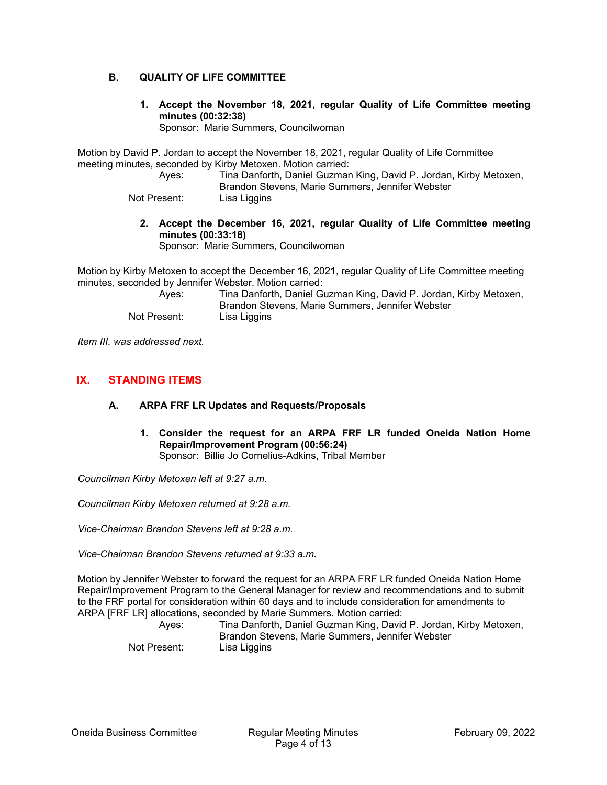## **B. QUALITY OF LIFE COMMITTEE**

**1. Accept the November 18, 2021, regular Quality of Life Committee meeting minutes (00:32:38)** 

Sponsor: Marie Summers, Councilwoman

Motion by David P. Jordan to accept the November 18, 2021, regular Quality of Life Committee meeting minutes, seconded by Kirby Metoxen. Motion carried:

 Ayes: Tina Danforth, Daniel Guzman King, David P. Jordan, Kirby Metoxen, Brandon Stevens, Marie Summers, Jennifer Webster

Not Present: Lisa Liggins

**2. Accept the December 16, 2021, regular Quality of Life Committee meeting minutes (00:33:18)** 

Sponsor: Marie Summers, Councilwoman

Motion by Kirby Metoxen to accept the December 16, 2021, regular Quality of Life Committee meeting minutes, seconded by Jennifer Webster. Motion carried:

| Aves:        | Tina Danforth, Daniel Guzman King, David P. Jordan, Kirby Metoxen, |
|--------------|--------------------------------------------------------------------|
|              | Brandon Stevens, Marie Summers, Jennifer Webster                   |
| Not Present: | Lisa Liggins                                                       |

*Item III. was addressed next.* 

# **IX. STANDING ITEMS**

## **A. ARPA FRF LR Updates and Requests/Proposals**

**1. Consider the request for an ARPA FRF LR funded Oneida Nation Home Repair/Improvement Program (00:56:24)** 

Sponsor: Billie Jo Cornelius-Adkins, Tribal Member

*Councilman Kirby Metoxen left at 9:27 a.m.* 

*Councilman Kirby Metoxen returned at 9:28 a.m.* 

*Vice-Chairman Brandon Stevens left at 9:28 a.m.* 

*Vice-Chairman Brandon Stevens returned at 9:33 a.m.* 

Motion by Jennifer Webster to forward the request for an ARPA FRF LR funded Oneida Nation Home Repair/Improvement Program to the General Manager for review and recommendations and to submit to the FRF portal for consideration within 60 days and to include consideration for amendments to ARPA [FRF LR] allocations, seconded by Marie Summers. Motion carried:

 Ayes: Tina Danforth, Daniel Guzman King, David P. Jordan, Kirby Metoxen, Brandon Stevens, Marie Summers, Jennifer Webster Not Present: Lisa Liggins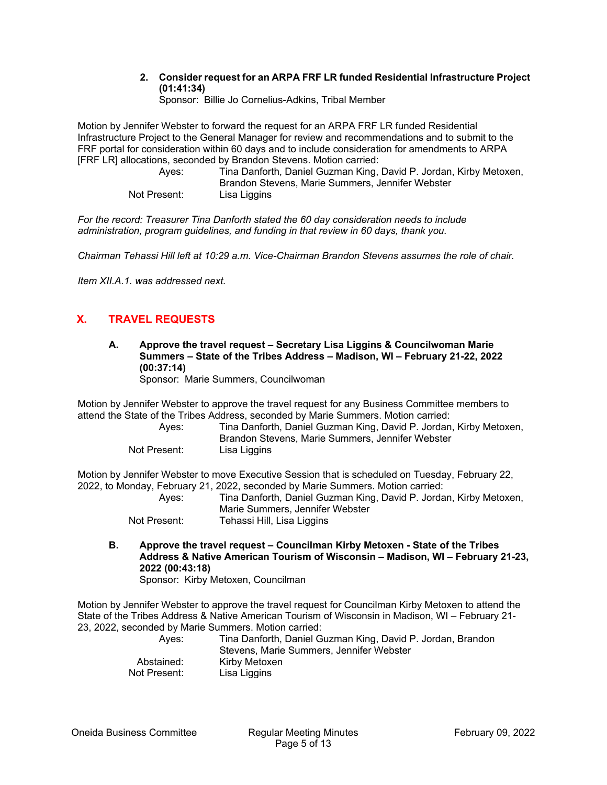#### **2. Consider request for an ARPA FRF LR funded Residential Infrastructure Project (01:41:34)**

Sponsor: Billie Jo Cornelius-Adkins, Tribal Member

Motion by Jennifer Webster to forward the request for an ARPA FRF LR funded Residential Infrastructure Project to the General Manager for review and recommendations and to submit to the FRF portal for consideration within 60 days and to include consideration for amendments to ARPA [FRF LR] allocations, seconded by Brandon Stevens. Motion carried:

 Ayes: Tina Danforth, Daniel Guzman King, David P. Jordan, Kirby Metoxen, Brandon Stevens, Marie Summers, Jennifer Webster Not Present: Lisa Liggins

*For the record: Treasurer Tina Danforth stated the 60 day consideration needs to include administration, program guidelines, and funding in that review in 60 days, thank you.* 

*Chairman Tehassi Hill left at 10:29 a.m. Vice-Chairman Brandon Stevens assumes the role of chair.* 

*Item XII.A.1. was addressed next.* 

# **X. TRAVEL REQUESTS**

**A. Approve the travel request – Secretary Lisa Liggins & Councilwoman Marie Summers – State of the Tribes Address – Madison, WI – February 21-22, 2022 (00:37:14)** 

Sponsor: Marie Summers, Councilwoman

Motion by Jennifer Webster to approve the travel request for any Business Committee members to attend the State of the Tribes Address, seconded by Marie Summers. Motion carried:

 Ayes: Tina Danforth, Daniel Guzman King, David P. Jordan, Kirby Metoxen, Brandon Stevens, Marie Summers, Jennifer Webster Not Present: Lisa Liggins

Motion by Jennifer Webster to move Executive Session that is scheduled on Tuesday, February 22, 2022, to Monday, February 21, 2022, seconded by Marie Summers. Motion carried:

| Ayes:        | Tina Danforth, Daniel Guzman King, David P. Jordan, Kirby Metoxen, |
|--------------|--------------------------------------------------------------------|
|              | Marie Summers, Jennifer Webster                                    |
| Not Drocont: | Tahassi Hill Lisa Liagins                                          |

- Not Present: Tehassi Hill, Lisa Liggins
- **B. Approve the travel request Councilman Kirby Metoxen State of the Tribes Address & Native American Tourism of Wisconsin – Madison, WI – February 21-23, 2022 (00:43:18)**

Sponsor: Kirby Metoxen, Councilman

Motion by Jennifer Webster to approve the travel request for Councilman Kirby Metoxen to attend the State of the Tribes Address & Native American Tourism of Wisconsin in Madison, WI – February 21- 23, 2022, seconded by Marie Summers. Motion carried:

| Aves:        | Tina Danforth, Daniel Guzman King, David P. Jordan, Brandon<br>Stevens. Marie Summers. Jennifer Webster |
|--------------|---------------------------------------------------------------------------------------------------------|
| Abstained:   | Kirby Metoxen                                                                                           |
| Not Present: | Lisa Liggins                                                                                            |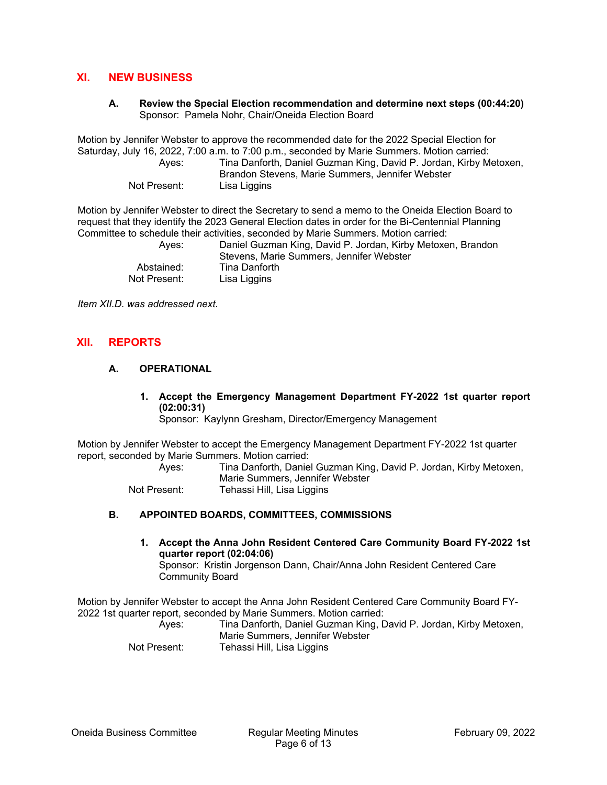## **XI. NEW BUSINESS**

**A. Review the Special Election recommendation and determine next steps (00:44:20)**  Sponsor: Pamela Nohr, Chair/Oneida Election Board

Motion by Jennifer Webster to approve the recommended date for the 2022 Special Election for Saturday, July 16, 2022, 7:00 a.m. to 7:00 p.m., seconded by Marie Summers. Motion carried: Ayes: Tina Danforth, Daniel Guzman King, David P. Jordan, Kirby Metoxen,

| Aves:        | Tina Danforth, Daniel Guzman King, David P. Jordan, Kirby Metoxen, |
|--------------|--------------------------------------------------------------------|
|              | Brandon Stevens, Marie Summers, Jennifer Webster                   |
| Not Present: | Lisa Liggins                                                       |

Motion by Jennifer Webster to direct the Secretary to send a memo to the Oneida Election Board to request that they identify the 2023 General Election dates in order for the Bi-Centennial Planning Committee to schedule their activities, seconded by Marie Summers. Motion carried:

| Aves:        | Daniel Guzman King, David P. Jordan, Kirby Metoxen, Brandon<br>Stevens, Marie Summers, Jennifer Webster |
|--------------|---------------------------------------------------------------------------------------------------------|
| Abstained:   | Tina Danforth                                                                                           |
| Not Present: | Lisa Liggins                                                                                            |

*Item XII.D. was addressed next.* 

# **XII. REPORTS**

# **A. OPERATIONAL**

**1. Accept the Emergency Management Department FY-2022 1st quarter report (02:00:31)** 

Sponsor: Kaylynn Gresham, Director/Emergency Management

Motion by Jennifer Webster to accept the Emergency Management Department FY-2022 1st quarter report, seconded by Marie Summers. Motion carried:

 Ayes: Tina Danforth, Daniel Guzman King, David P. Jordan, Kirby Metoxen, Marie Summers, Jennifer Webster Not Present: Tehassi Hill, Lisa Liggins

## **B. APPOINTED BOARDS, COMMITTEES, COMMISSIONS**

**1. Accept the Anna John Resident Centered Care Community Board FY-2022 1st quarter report (02:04:06)** 

Sponsor: Kristin Jorgenson Dann, Chair/Anna John Resident Centered Care Community Board

Motion by Jennifer Webster to accept the Anna John Resident Centered Care Community Board FY-2022 1st quarter report, seconded by Marie Summers. Motion carried:

| Aves:        | Tina Danforth, Daniel Guzman King, David P. Jordan, Kirby Metoxen, |
|--------------|--------------------------------------------------------------------|
|              | Marie Summers, Jennifer Webster                                    |
| Not Present: | Tehassi Hill, Lisa Liggins                                         |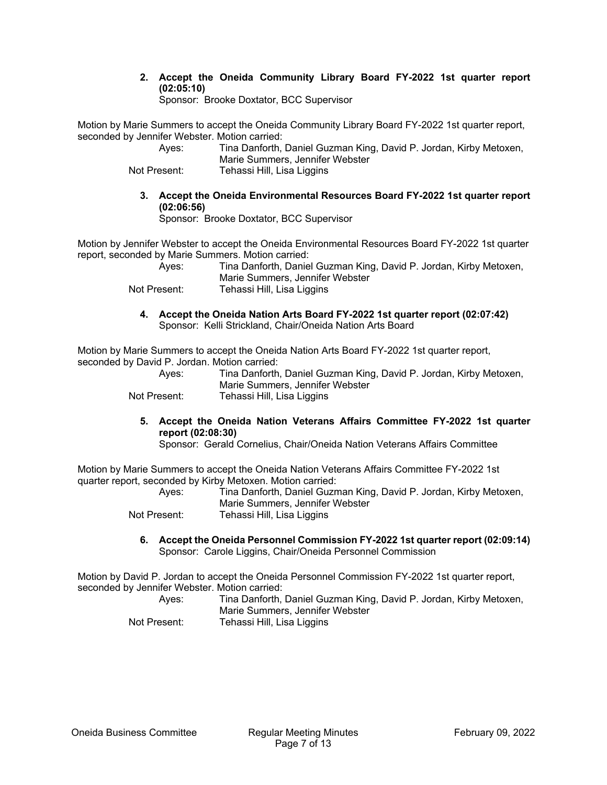**2. Accept the Oneida Community Library Board FY-2022 1st quarter report (02:05:10)** 

Sponsor: Brooke Doxtator, BCC Supervisor

Motion by Marie Summers to accept the Oneida Community Library Board FY-2022 1st quarter report, seconded by Jennifer Webster. Motion carried:

| Ayes:        | Tina Danforth, Daniel Guzman King, David P. Jordan, Kirby Metoxen, |
|--------------|--------------------------------------------------------------------|
|              | Marie Summers, Jennifer Webster                                    |
| Not Present: | Tehassi Hill, Lisa Liggins                                         |

**3. Accept the Oneida Environmental Resources Board FY-2022 1st quarter report (02:06:56)** 

Sponsor: Brooke Doxtator, BCC Supervisor

Motion by Jennifer Webster to accept the Oneida Environmental Resources Board FY-2022 1st quarter report, seconded by Marie Summers. Motion carried:

| Ayes:        | Tina Danforth, Daniel Guzman King, David P. Jordan, Kirby Metoxen, |
|--------------|--------------------------------------------------------------------|
|              | Marie Summers, Jennifer Webster                                    |
| Not Present: | Tehassi Hill, Lisa Liggins                                         |

**4. Accept the Oneida Nation Arts Board FY-2022 1st quarter report (02:07:42)**  Sponsor: Kelli Strickland, Chair/Oneida Nation Arts Board

Motion by Marie Summers to accept the Oneida Nation Arts Board FY-2022 1st quarter report, seconded by David P. Jordan. Motion carried:

| Ayes:        | Tina Danforth, Daniel Guzman King, David P. Jordan, Kirby Metoxen, |
|--------------|--------------------------------------------------------------------|
|              | Marie Summers, Jennifer Webster                                    |
| Not Present: | Tehassi Hill, Lisa Liggins                                         |

## **5. Accept the Oneida Nation Veterans Affairs Committee FY-2022 1st quarter report (02:08:30)**

Sponsor: Gerald Cornelius, Chair/Oneida Nation Veterans Affairs Committee

Motion by Marie Summers to accept the Oneida Nation Veterans Affairs Committee FY-2022 1st quarter report, seconded by Kirby Metoxen. Motion carried:

| Aves:        | Tina Danforth, Daniel Guzman King, David P. Jordan, Kirby Metoxen, |
|--------------|--------------------------------------------------------------------|
|              | Marie Summers, Jennifer Webster                                    |
| Not Present: | Tehassi Hill, Lisa Liggins                                         |

**6. Accept the Oneida Personnel Commission FY-2022 1st quarter report (02:09:14)**  Sponsor: Carole Liggins, Chair/Oneida Personnel Commission

Motion by David P. Jordan to accept the Oneida Personnel Commission FY-2022 1st quarter report, seconded by Jennifer Webster. Motion carried:

| Aves:        | Tina Danforth, Daniel Guzman King, David P. Jordan, Kirby Metoxen, |
|--------------|--------------------------------------------------------------------|
|              | Marie Summers, Jennifer Webster                                    |
| Not Present: | Tehassi Hill, Lisa Liggins                                         |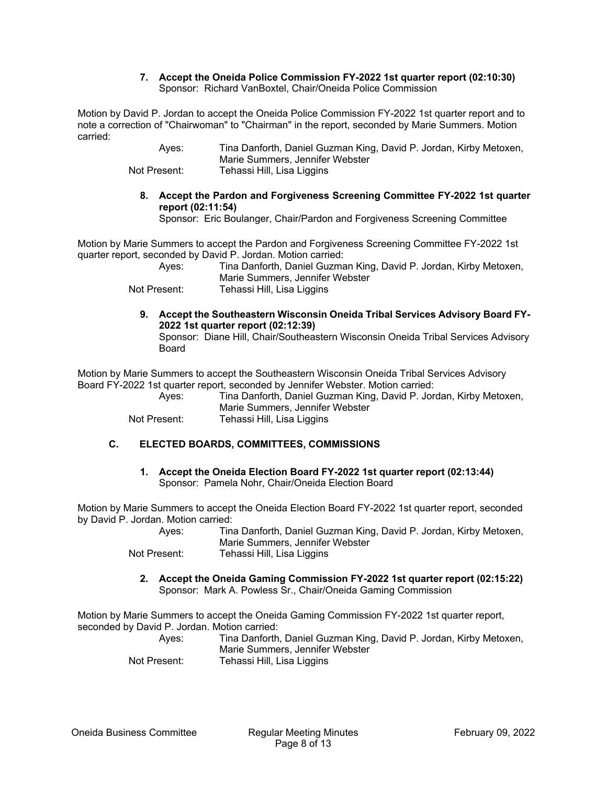#### **7. Accept the Oneida Police Commission FY-2022 1st quarter report (02:10:30)**  Sponsor: Richard VanBoxtel, Chair/Oneida Police Commission

Motion by David P. Jordan to accept the Oneida Police Commission FY-2022 1st quarter report and to note a correction of "Chairwoman" to "Chairman" in the report, seconded by Marie Summers. Motion carried:

> Ayes: Tina Danforth, Daniel Guzman King, David P. Jordan, Kirby Metoxen, Marie Summers, Jennifer Webster Not Present: Tehassi Hill, Lisa Liggins

**8. Accept the Pardon and Forgiveness Screening Committee FY-2022 1st quarter report (02:11:54)** 

Sponsor: Eric Boulanger, Chair/Pardon and Forgiveness Screening Committee

Motion by Marie Summers to accept the Pardon and Forgiveness Screening Committee FY-2022 1st quarter report, seconded by David P. Jordan. Motion carried:

 Ayes: Tina Danforth, Daniel Guzman King, David P. Jordan, Kirby Metoxen, Marie Summers, Jennifer Webster

Not Present: Tehassi Hill, Lisa Liggins

**9. Accept the Southeastern Wisconsin Oneida Tribal Services Advisory Board FY-2022 1st quarter report (02:12:39)** 

Sponsor: Diane Hill, Chair/Southeastern Wisconsin Oneida Tribal Services Advisory Board

Motion by Marie Summers to accept the Southeastern Wisconsin Oneida Tribal Services Advisory Board FY-2022 1st quarter report, seconded by Jennifer Webster. Motion carried:

 Ayes: Tina Danforth, Daniel Guzman King, David P. Jordan, Kirby Metoxen, Marie Summers, Jennifer Webster Not Present: Tehassi Hill, Lisa Liggins

# **C. ELECTED BOARDS, COMMITTEES, COMMISSIONS**

**1. Accept the Oneida Election Board FY-2022 1st quarter report (02:13:44)**  Sponsor: Pamela Nohr, Chair/Oneida Election Board

Motion by Marie Summers to accept the Oneida Election Board FY-2022 1st quarter report, seconded by David P. Jordan. Motion carried:

| Ayes:        | Tina Danforth, Daniel Guzman King, David P. Jordan, Kirby Metoxen, |
|--------------|--------------------------------------------------------------------|
|              | Marie Summers, Jennifer Webster                                    |
| Not Present: | Tehassi Hill, Lisa Liggins                                         |

**2. Accept the Oneida Gaming Commission FY-2022 1st quarter report (02:15:22)**  Sponsor: Mark A. Powless Sr., Chair/Oneida Gaming Commission

Motion by Marie Summers to accept the Oneida Gaming Commission FY-2022 1st quarter report, seconded by David P. Jordan. Motion carried:

| Ayes:        | Tina Danforth, Daniel Guzman King, David P. Jordan, Kirby Metoxen, |
|--------------|--------------------------------------------------------------------|
|              | Marie Summers, Jennifer Webster                                    |
| Not Present: | Tehassi Hill, Lisa Liggins                                         |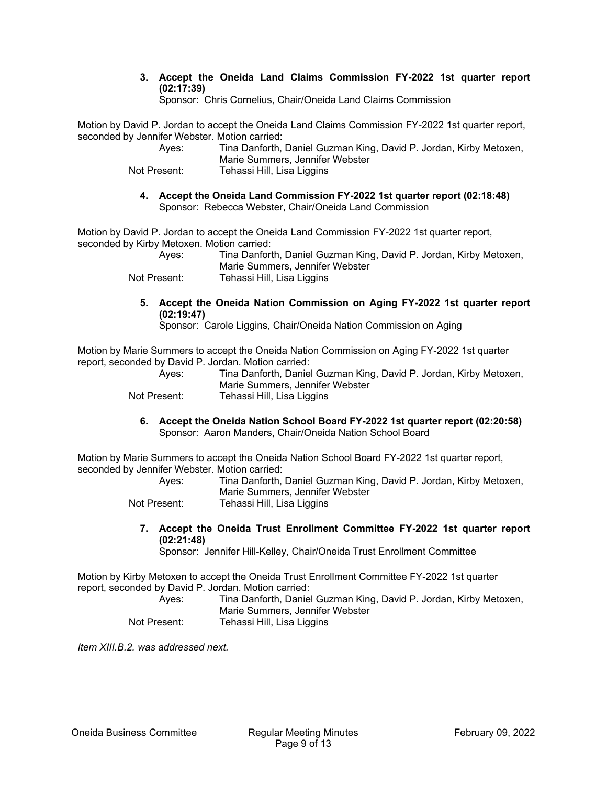**3. Accept the Oneida Land Claims Commission FY-2022 1st quarter report (02:17:39)** 

Sponsor: Chris Cornelius, Chair/Oneida Land Claims Commission

Motion by David P. Jordan to accept the Oneida Land Claims Commission FY-2022 1st quarter report, seconded by Jennifer Webster. Motion carried:

| Ayes:        | Tina Danforth, Daniel Guzman King, David P. Jordan, Kirby Metoxen, |
|--------------|--------------------------------------------------------------------|
|              | Marie Summers, Jennifer Webster                                    |
| Not Present: | Tehassi Hill, Lisa Liggins                                         |

**4. Accept the Oneida Land Commission FY-2022 1st quarter report (02:18:48)**  Sponsor: Rebecca Webster, Chair/Oneida Land Commission

Motion by David P. Jordan to accept the Oneida Land Commission FY-2022 1st quarter report, seconded by Kirby Metoxen. Motion carried:

 Ayes: Tina Danforth, Daniel Guzman King, David P. Jordan, Kirby Metoxen, Marie Summers, Jennifer Webster Not Present: Tehassi Hill, Lisa Liggins

**5. Accept the Oneida Nation Commission on Aging FY-2022 1st quarter report (02:19:47)** 

Sponsor: Carole Liggins, Chair/Oneida Nation Commission on Aging

Motion by Marie Summers to accept the Oneida Nation Commission on Aging FY-2022 1st quarter report, seconded by David P. Jordan. Motion carried:

| Ayes:        | Tina Danforth, Daniel Guzman King, David P. Jordan, Kirby Metoxen, |
|--------------|--------------------------------------------------------------------|
|              | Marie Summers, Jennifer Webster                                    |
| Not Present: | Tehassi Hill, Lisa Liggins                                         |

**6. Accept the Oneida Nation School Board FY-2022 1st quarter report (02:20:58)**  Sponsor: Aaron Manders, Chair/Oneida Nation School Board

Motion by Marie Summers to accept the Oneida Nation School Board FY-2022 1st quarter report, seconded by Jennifer Webster. Motion carried:

| Ayes:        | Tina Danforth, Daniel Guzman King, David P. Jordan, Kirby Metoxen, |
|--------------|--------------------------------------------------------------------|
|              | Marie Summers, Jennifer Webster                                    |
| Not Present: | Tehassi Hill, Lisa Liggins                                         |

**7. Accept the Oneida Trust Enrollment Committee FY-2022 1st quarter report (02:21:48)** 

Sponsor: Jennifer Hill-Kelley, Chair/Oneida Trust Enrollment Committee

Motion by Kirby Metoxen to accept the Oneida Trust Enrollment Committee FY-2022 1st quarter report, seconded by David P. Jordan. Motion carried:

 Ayes: Tina Danforth, Daniel Guzman King, David P. Jordan, Kirby Metoxen, Marie Summers, Jennifer Webster Not Present: Tehassi Hill, Lisa Liggins

*Item XIII.B.2. was addressed next.*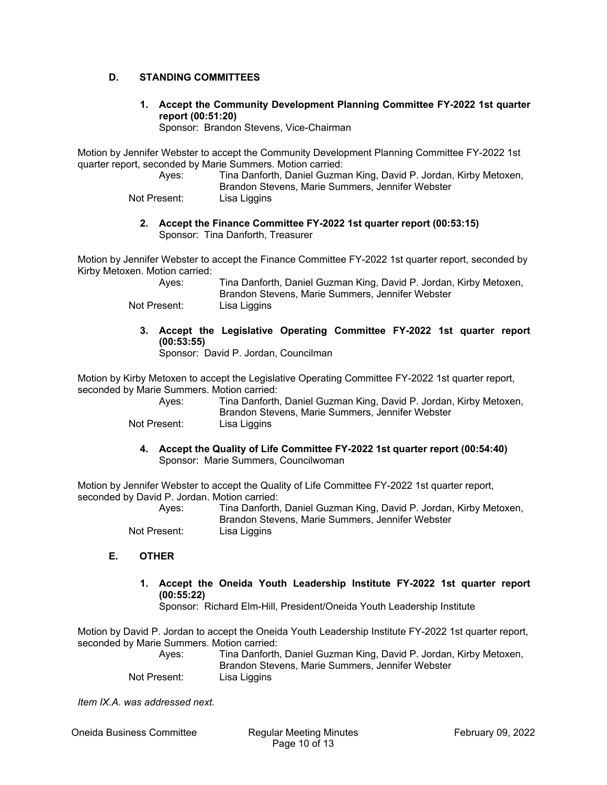# **D. STANDING COMMITTEES**

**1. Accept the Community Development Planning Committee FY-2022 1st quarter report (00:51:20)** 

Sponsor: Brandon Stevens, Vice-Chairman

Motion by Jennifer Webster to accept the Community Development Planning Committee FY-2022 1st quarter report, seconded by Marie Summers. Motion carried:

 Ayes: Tina Danforth, Daniel Guzman King, David P. Jordan, Kirby Metoxen, Brandon Stevens, Marie Summers, Jennifer Webster

Not Present: Lisa Liggins

**2. Accept the Finance Committee FY-2022 1st quarter report (00:53:15)**  Sponsor: Tina Danforth, Treasurer

Motion by Jennifer Webster to accept the Finance Committee FY-2022 1st quarter report, seconded by Kirby Metoxen. Motion carried:

| Ayes:        | Tina Danforth, Daniel Guzman King, David P. Jordan, Kirby Metoxen, |
|--------------|--------------------------------------------------------------------|
|              | Brandon Stevens, Marie Summers, Jennifer Webster                   |
| Not Present: | Lisa Liggins                                                       |

**3. Accept the Legislative Operating Committee FY-2022 1st quarter report (00:53:55)** 

Sponsor: David P. Jordan, Councilman

Motion by Kirby Metoxen to accept the Legislative Operating Committee FY-2022 1st quarter report, seconded by Marie Summers. Motion carried:

| Aves:        | Tina Danforth, Daniel Guzman King, David P. Jordan, Kirby Metoxen, |
|--------------|--------------------------------------------------------------------|
|              | Brandon Stevens, Marie Summers, Jennifer Webster                   |
| Not Present: | Lisa Liggins                                                       |

**4. Accept the Quality of Life Committee FY-2022 1st quarter report (00:54:40)** 

Sponsor: Marie Summers, Councilwoman

Motion by Jennifer Webster to accept the Quality of Life Committee FY-2022 1st quarter report, seconded by David P. Jordan. Motion carried:

| Ayes:        | Tina Danforth, Daniel Guzman King, David P. Jordan, Kirby Metoxen, |
|--------------|--------------------------------------------------------------------|
|              | Brandon Stevens, Marie Summers, Jennifer Webster                   |
| Not Present: | Lisa Liggins                                                       |

- **E. OTHER**
	- **1. Accept the Oneida Youth Leadership Institute FY-2022 1st quarter report (00:55:22)**

Sponsor: Richard Elm-Hill, President/Oneida Youth Leadership Institute

Motion by David P. Jordan to accept the Oneida Youth Leadership Institute FY-2022 1st quarter report, seconded by Marie Summers. Motion carried:

| Ayes:        | Tina Danforth, Daniel Guzman King, David P. Jordan, Kirby Metoxen, |
|--------------|--------------------------------------------------------------------|
|              | Brandon Stevens, Marie Summers, Jennifer Webster                   |
| Not Present: | Lisa Liggins                                                       |

*Item IX.A. was addressed next.*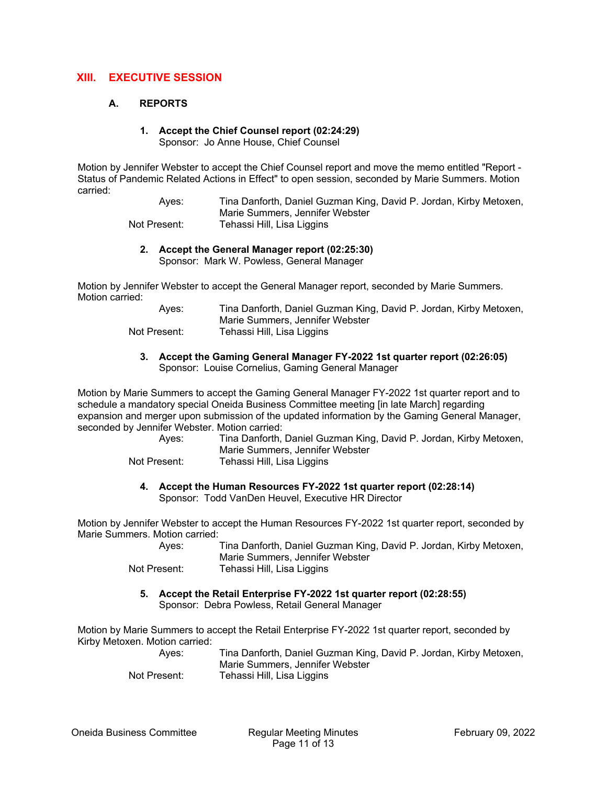# **XIII. EXECUTIVE SESSION**

#### **A. REPORTS**

# **1. Accept the Chief Counsel report (02:24:29)**

Sponsor: Jo Anne House, Chief Counsel

Motion by Jennifer Webster to accept the Chief Counsel report and move the memo entitled "Report - Status of Pandemic Related Actions in Effect" to open session, seconded by Marie Summers. Motion carried:

> Ayes: Tina Danforth, Daniel Guzman King, David P. Jordan, Kirby Metoxen, Marie Summers, Jennifer Webster Not Present: Tehassi Hill, Lisa Liggins

#### **2. Accept the General Manager report (02:25:30)**

Sponsor: Mark W. Powless, General Manager

Motion by Jennifer Webster to accept the General Manager report, seconded by Marie Summers. Motion carried:

| Ayes:        | Tina Danforth, Daniel Guzman King, David P. Jordan, Kirby Metoxen, |
|--------------|--------------------------------------------------------------------|
|              | Marie Summers, Jennifer Webster                                    |
| Not Present: | Tehassi Hill, Lisa Liggins                                         |

#### **3. Accept the Gaming General Manager FY-2022 1st quarter report (02:26:05)**  Sponsor: Louise Cornelius, Gaming General Manager

Motion by Marie Summers to accept the Gaming General Manager FY-2022 1st quarter report and to schedule a mandatory special Oneida Business Committee meeting [in late March] regarding expansion and merger upon submission of the updated information by the Gaming General Manager, seconded by Jennifer Webster. Motion carried:

| Ayes:        | Tina Danforth, Daniel Guzman King, David P. Jordan, Kirby Metoxen,<br>Marie Summers, Jennifer Webster |
|--------------|-------------------------------------------------------------------------------------------------------|
| Not Present: | Tehassi Hill, Lisa Liggins                                                                            |

# **4. Accept the Human Resources FY-2022 1st quarter report (02:28:14)**

Sponsor: Todd VanDen Heuvel, Executive HR Director

Motion by Jennifer Webster to accept the Human Resources FY-2022 1st quarter report, seconded by Marie Summers. Motion carried:

| Aves:        | Tina Danforth, Daniel Guzman King, David P. Jordan, Kirby Metoxen, |
|--------------|--------------------------------------------------------------------|
|              | Marie Summers, Jennifer Webster                                    |
| Not Present: | Tehassi Hill, Lisa Liggins                                         |

**5. Accept the Retail Enterprise FY-2022 1st quarter report (02:28:55)**  Sponsor: Debra Powless, Retail General Manager

Motion by Marie Summers to accept the Retail Enterprise FY-2022 1st quarter report, seconded by Kirby Metoxen. Motion carried:

> Ayes: Tina Danforth, Daniel Guzman King, David P. Jordan, Kirby Metoxen, Marie Summers, Jennifer Webster Not Present: Tehassi Hill, Lisa Liggins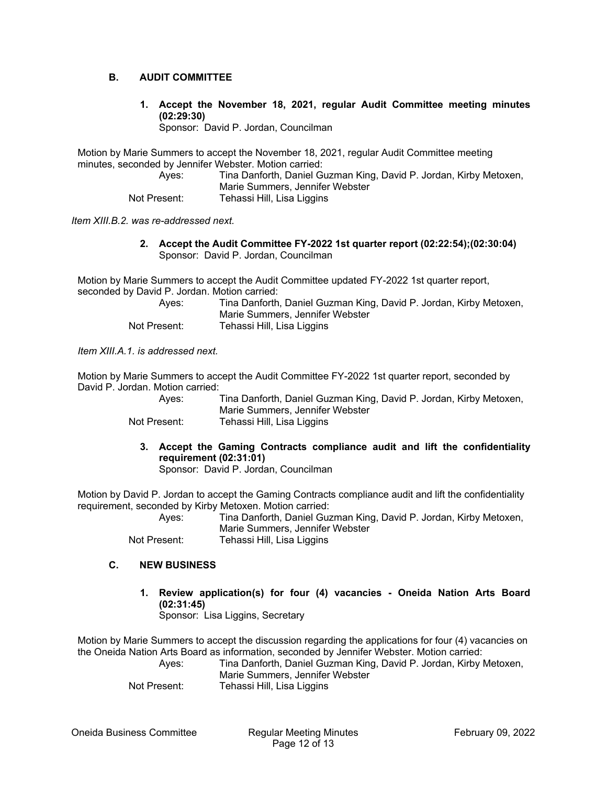## **B. AUDIT COMMITTEE**

**1. Accept the November 18, 2021, regular Audit Committee meeting minutes (02:29:30)** 

Sponsor: David P. Jordan, Councilman

Motion by Marie Summers to accept the November 18, 2021, regular Audit Committee meeting minutes, seconded by Jennifer Webster. Motion carried:

 Ayes: Tina Danforth, Daniel Guzman King, David P. Jordan, Kirby Metoxen, Marie Summers, Jennifer Webster Not Present: Tehassi Hill, Lisa Liggins

*Item XIII.B.2. was re-addressed next.* 

**2. Accept the Audit Committee FY-2022 1st quarter report (02:22:54);(02:30:04)**  Sponsor: David P. Jordan, Councilman

Motion by Marie Summers to accept the Audit Committee updated FY-2022 1st quarter report, seconded by David P. Jordan. Motion carried:

| Ayes:        | Tina Danforth, Daniel Guzman King, David P. Jordan, Kirby Metoxen, |
|--------------|--------------------------------------------------------------------|
|              | Marie Summers, Jennifer Webster                                    |
| Not Present: | Tehassi Hill, Lisa Liggins                                         |

*Item XIII.A.1. is addressed next.* 

Motion by Marie Summers to accept the Audit Committee FY-2022 1st quarter report, seconded by David P. Jordan. Motion carried:

 Ayes: Tina Danforth, Daniel Guzman King, David P. Jordan, Kirby Metoxen, Marie Summers, Jennifer Webster Not Present: Tehassi Hill, Lisa Liggins

**3. Accept the Gaming Contracts compliance audit and lift the confidentiality requirement (02:31:01)** 

Sponsor: David P. Jordan, Councilman

Motion by David P. Jordan to accept the Gaming Contracts compliance audit and lift the confidentiality requirement, seconded by Kirby Metoxen. Motion carried:

 Ayes: Tina Danforth, Daniel Guzman King, David P. Jordan, Kirby Metoxen, Marie Summers, Jennifer Webster Not Present: Tehassi Hill, Lisa Liggins

#### **C. NEW BUSINESS**

**1. Review application(s) for four (4) vacancies - Oneida Nation Arts Board (02:31:45)**  Sponsor: Lisa Liggins, Secretary

Motion by Marie Summers to accept the discussion regarding the applications for four (4) vacancies on the Oneida Nation Arts Board as information, seconded by Jennifer Webster. Motion carried:

 Ayes: Tina Danforth, Daniel Guzman King, David P. Jordan, Kirby Metoxen, Marie Summers, Jennifer Webster

Not Present: Tehassi Hill, Lisa Liggins

Oneida Business Committee Regular Meeting Minutes February 09, 2022